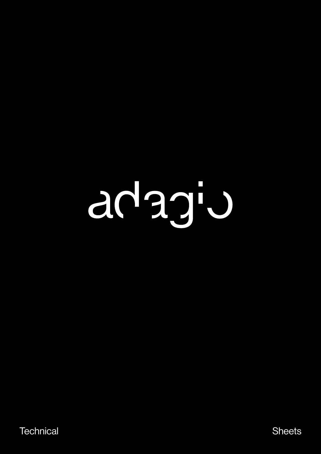# adagiu

Technical Sheets and Sheets and Sheets and Sheets and Sheets and Sheets and Sheets and Sheets and Sheets and Sheets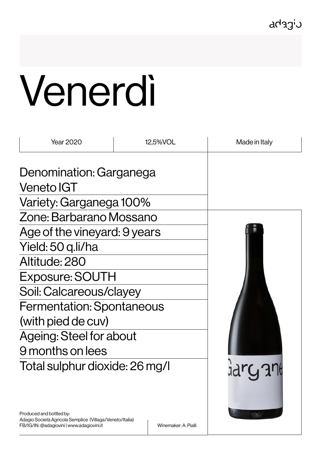adagiu

# Venerdì

| 12,5%VOL                         | Made in Italy                                                                                                                              |
|----------------------------------|--------------------------------------------------------------------------------------------------------------------------------------------|
|                                  |                                                                                                                                            |
|                                  |                                                                                                                                            |
|                                  |                                                                                                                                            |
|                                  |                                                                                                                                            |
| Age of the vineyard: 9 years     |                                                                                                                                            |
| Yield: 50 q.li/ha                |                                                                                                                                            |
| Altitude: 280                    |                                                                                                                                            |
| <b>Exposure: SOUTH</b>           |                                                                                                                                            |
|                                  |                                                                                                                                            |
| <b>Fermentation: Spontaneous</b> |                                                                                                                                            |
|                                  |                                                                                                                                            |
| Ageing: Steel for about          |                                                                                                                                            |
|                                  |                                                                                                                                            |
|                                  |                                                                                                                                            |
|                                  | Denomination: Garganega<br>Variety: Garganega 100%<br>Zone: Barbarano Mossano<br>Soil: Calcareous/clayey<br>Total sulphur dioxide: 26 mg/l |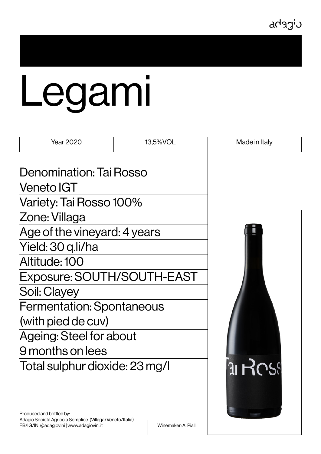#### cicrha

# Legami

| <b>Year 2020</b>                 | 13,5%VOL | Made in Italy |
|----------------------------------|----------|---------------|
| Denomination: Tai Rosso          |          |               |
| <b>Veneto IGT</b>                |          |               |
| Variety: Tai Rosso 100%          |          |               |
| Zone: Villaga                    |          |               |
| Age of the vineyard: 4 years     |          |               |
| Yield: 30 g.li/ha                |          |               |
| Altitude: 100                    |          |               |
| Exposure: SOUTH/SOUTH-EAST       |          |               |
| Soil: Clayey                     |          |               |
| <b>Fermentation: Spontaneous</b> |          |               |
| (with pied de cuv)               |          |               |
| Ageing: Steel for about          |          |               |
| 9 months on lees                 |          |               |
| Total sulphur dioxide: 23 mg/l   |          | 31H           |

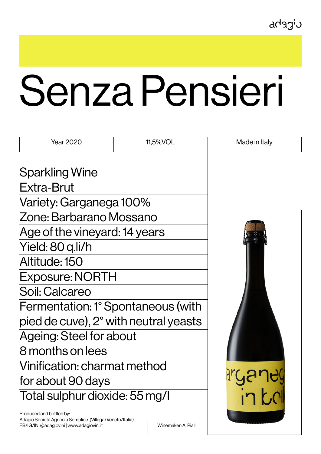## Senza Pensieri

| <b>Year 2020</b>                      | 11,5%VOL | Made in Italy |
|---------------------------------------|----------|---------------|
| <b>Sparkling Wine</b>                 |          |               |
| Extra-Brut                            |          |               |
| Variety: Garganega 100%               |          |               |
| Zone: Barbarano Mossano               |          |               |
| Age of the vineyard: 14 years         |          |               |
| Yield: 80 q.li/h                      |          |               |
| Altitude: 150                         |          |               |
| <b>Exposure: NORTH</b>                |          |               |
| Soil: Calcareo                        |          |               |
| Fermentation: 1° Spontaneous (with    |          |               |
| pied de cuve), 2° with neutral yeasts |          |               |
| <b>Ageing: Steel for about</b>        |          |               |
| 8 months on lees                      |          |               |
| Vinification: charmat method          |          |               |
| for about 90 days                     |          |               |
| Total sulphur dioxide: 55 mg/l        |          |               |
| Droduced and bottled by               |          |               |

Produced and bottled by: Adagio Società Agricola Semplice (Villaga/Veneto/Italia) FB/IG/IN: @adagiovini | www.adagiovini.it Winemaker: A. Pialli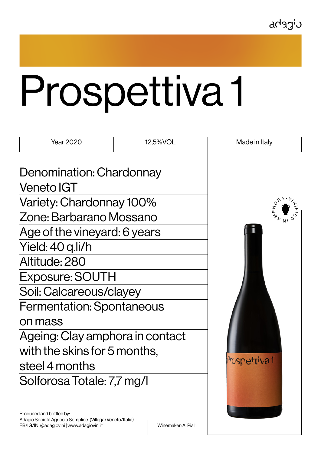## Prospettiva 1

| <b>Year 2020</b>                 | 12,5%VOL | Made in Italy |
|----------------------------------|----------|---------------|
| Denomination: Chardonnay         |          |               |
| <b>Veneto IGT</b>                |          |               |
| Variety: Chardonnay 100%         |          |               |
| Zone: Barbarano Mossano          |          |               |
| Age of the vineyard: 6 years     |          |               |
| Yield: 40 q.li/h                 |          |               |
| Altitude: 280                    |          |               |
| <b>Exposure: SOUTH</b>           |          |               |
| Soil: Calcareous/clayey          |          |               |
| <b>Fermentation: Spontaneous</b> |          |               |
| on mass                          |          |               |
| Ageing: Clay amphora in contact  |          |               |
| with the skins for 5 months,     |          |               |
| steel 4 months                   |          | Pruspettiva 1 |
| Solforosa Totale: 7,7 mg/l       |          |               |
|                                  |          |               |

Produced and bottled by: Adagio Società Agricola Semplice (Villaga/Veneto/Italia) FB/IG/IN: @adagiovini | www.adagiovini.it Winemaker: A. Pialli